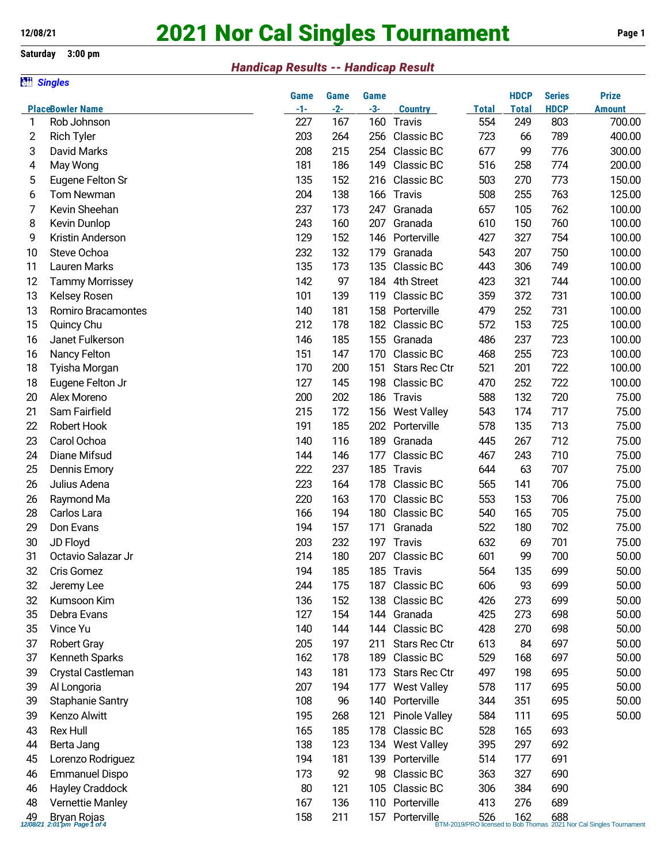**all Singles** 

# **2021 Nor Cal Singles Tournament Page 1**

## **Saturday 3:00 pm**

## *Handicap Results -- Handicap Result*

|          |                                                | <b>Game</b> | <b>Game</b> | <b>Game</b> |                      |              | <b>HDCP</b>  | <b>Series</b> | <b>Prize</b>                                                                         |
|----------|------------------------------------------------|-------------|-------------|-------------|----------------------|--------------|--------------|---------------|--------------------------------------------------------------------------------------|
|          | <b>PlaceBowler Name</b>                        | $-1-$       | $-2-$       | $-3-$       | <b>Country</b>       | <b>Total</b> | <b>Total</b> | <b>HDCP</b>   | <b>Amount</b>                                                                        |
| 1        | Rob Johnson                                    | 227         | 167         | 160         | <b>Travis</b>        | 554          | 249          | 803           | 700.00                                                                               |
| 2        | <b>Rich Tyler</b>                              | 203         | 264         | 256         | Classic BC           | 723          | 66           | 789           | 400.00                                                                               |
| 3        | David Marks                                    | 208         | 215         | 254         | Classic BC           | 677          | 99           | 776           | 300.00                                                                               |
| 4        | May Wong                                       | 181         | 186         | 149         | Classic BC           | 516          | 258          | 774           | 200.00                                                                               |
| 5        | Eugene Felton Sr                               | 135         | 152         | 216         | Classic BC           | 503          | 270          | 773           | 150.00                                                                               |
| 6        | Tom Newman                                     | 204         | 138         | 166         | Travis               | 508          | 255          | 763           | 125.00                                                                               |
| 7        | Kevin Sheehan                                  | 237         | 173         | 247         | Granada              | 657          | 105          | 762           | 100.00                                                                               |
| 8        | Kevin Dunlop                                   | 243         | 160         | 207         | Granada              | 610          | 150          | 760           | 100.00                                                                               |
| 9        | Kristin Anderson                               | 129         | 152         | 146         | Porterville          | 427          | 327          | 754           | 100.00                                                                               |
| 10       | Steve Ochoa                                    | 232         | 132         | 179         | Granada              | 543          | 207          | 750           | 100.00                                                                               |
| 11       | Lauren Marks                                   | 135         | 173         | 135         | Classic BC           | 443          | 306          | 749           | 100.00                                                                               |
| 12       | <b>Tammy Morrissey</b>                         | 142         | 97          | 184         | 4th Street           | 423          | 321          | 744           | 100.00                                                                               |
| 13       | Kelsey Rosen                                   | 101         | 139         | 119         | Classic BC           | 359          | 372          | 731           | 100.00                                                                               |
| 13       | <b>Romiro Bracamontes</b>                      | 140         | 181         | 158         | Porterville          | 479          | 252          | 731           | 100.00                                                                               |
| 15       | Quincy Chu                                     | 212         | 178         | 182         | Classic BC           | 572          | 153          | 725           | 100.00                                                                               |
| 16       | Janet Fulkerson                                | 146         | 185         | 155         | Granada              | 486          | 237          | 723           | 100.00                                                                               |
| 16       | Nancy Felton                                   | 151         | 147         | 170         | Classic BC           | 468          | 255          | 723           | 100.00                                                                               |
| 18       | Tyisha Morgan                                  | 170         | 200         | 151         | Stars Rec Ctr        | 521          | 201          | 722           | 100.00                                                                               |
| 18       | Eugene Felton Jr                               | 127         | 145         | 198         | Classic BC           | 470          | 252          | 722           | 100.00                                                                               |
| 20       | Alex Moreno                                    | 200         | 202         | 186         | Travis               | 588          | 132          | 720           | 75.00                                                                                |
| 21       | Sam Fairfield                                  | 215         | 172         | 156         | <b>West Valley</b>   | 543          | 174          | 717           | 75.00                                                                                |
| 22       | Robert Hook                                    | 191         | 185         | 202         | Porterville          | 578          | 135          | 713           | 75.00                                                                                |
| 23       | Carol Ochoa                                    | 140         | 116         | 189         | Granada              | 445          | 267          | 712           | 75.00                                                                                |
| 24       | Diane Mifsud                                   | 144         | 146         | 177         | Classic BC           | 467          | 243          | 710           | 75.00                                                                                |
| 25       | <b>Dennis Emory</b>                            | 222         | 237         | 185         | Travis               | 644          | 63           | 707           | 75.00                                                                                |
| 26       | Julius Adena                                   | 223         | 164         | 178         | Classic BC           | 565          | 141          | 706           | 75.00                                                                                |
| 26       | Raymond Ma                                     | 220         | 163         | 170         | Classic BC           | 553          | 153          | 706           | 75.00                                                                                |
| 28       | Carlos Lara                                    | 166         | 194         | 180         | Classic BC           | 540          | 165          | 705           | 75.00                                                                                |
| 29       | Don Evans                                      | 194         | 157         | 171         | Granada              | 522          | 180          | 702           | 75.00                                                                                |
|          |                                                | 203         | 232         |             | Travis               | 632          | 69           |               |                                                                                      |
| 30<br>31 | JD Floyd<br>Octavio Salazar Jr                 | 214         | 180         | 197<br>207  | Classic BC           | 601          | 99           | 701<br>700    | 75.00<br>50.00                                                                       |
|          |                                                |             |             |             |                      |              |              | 699           |                                                                                      |
| 32       | Cris Gomez                                     | 194         | 185         |             | 185 Travis           | 564          | 135          |               | 50.00                                                                                |
| 32       | Jeremy Lee                                     | 244         | 175         | 187         | Classic BC           | 606          | 93           | 699           | 50.00                                                                                |
| 32       | Kumsoon Kim                                    | 136         | 152         | 138         | Classic BC           | 426          | 273          | 699           | 50.00                                                                                |
| 35       | Debra Evans                                    | 127         | 154         | 144         | Granada              | 425          | 273          | 698           | 50.00                                                                                |
| 35       | Vince Yu                                       | 140         | 144         | 144         | Classic BC           | 428          | 270          | 698           | 50.00                                                                                |
| 37       | <b>Robert Gray</b>                             | 205         | 197         | 211         | <b>Stars Rec Ctr</b> | 613          | 84           | 697           | 50.00                                                                                |
| 37       | Kenneth Sparks                                 | 162         | 178         | 189         | Classic BC           | 529          | 168          | 697           | 50.00                                                                                |
| 39       | Crystal Castleman                              | 143         | 181         | 173         | <b>Stars Rec Ctr</b> | 497          | 198          | 695           | 50.00                                                                                |
| 39       | Al Longoria                                    | 207         | 194         | 177         | <b>West Valley</b>   | 578          | 117          | 695           | 50.00                                                                                |
| 39       | <b>Staphanie Santry</b>                        | 108         | 96          | 140         | Porterville          | 344          | 351          | 695           | 50.00                                                                                |
| 39       | Kenzo Alwitt                                   | 195         | 268         | 121         | Pinole Valley        | 584          | 111          | 695           | 50.00                                                                                |
| 43       | <b>Rex Hull</b>                                | 165         | 185         | 178         | Classic BC           | 528          | 165          | 693           |                                                                                      |
| 44       | Berta Jang                                     | 138         | 123         | 134         | <b>West Valley</b>   | 395          | 297          | 692           |                                                                                      |
| 45       | Lorenzo Rodriguez                              | 194         | 181         | 139         | Porterville          | 514          | 177          | 691           |                                                                                      |
| 46       | <b>Emmanuel Dispo</b>                          | 173         | 92          | 98          | Classic BC           | 363          | 327          | 690           |                                                                                      |
| 46       | Hayley Craddock                                | 80          | 121         | 105         | Classic BC           | 306          | 384          | 690           |                                                                                      |
| 48       | Vernettie Manley                               | 167         | 136         | 110         | Porterville          | 413          | 276          | 689           |                                                                                      |
|          | 49 Bryan Rojas<br>12/08/21 2:01 pm Page 1 of 4 | 158         | 211         | 157         | Porterville          |              |              |               | e 526 162 688<br>BTM-2019/PRO licensed to Bob Thomas 2021 Nor Cal Singles Tournament |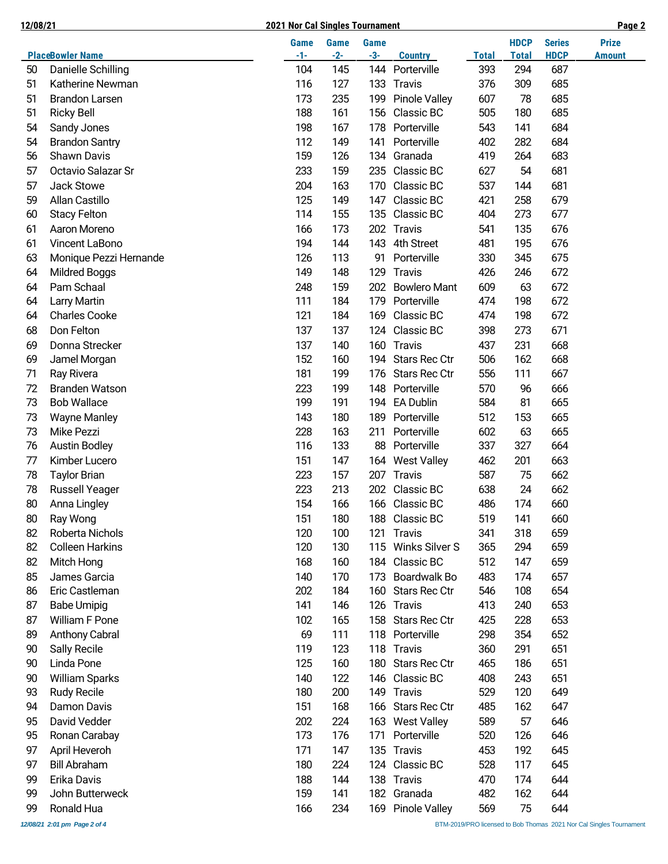### **12/08/21 2021 Nor Cal Singles Tournament Page 2**

|  | I |  |
|--|---|--|

|    |                         | <b>Game</b> | <b>Game</b> | <b>Game</b> |                      |              | <b>HDCP</b>  | <b>Series</b> | <b>Prize</b>  |
|----|-------------------------|-------------|-------------|-------------|----------------------|--------------|--------------|---------------|---------------|
|    | <b>PlaceBowler Name</b> | $-1-$       | $-2-$       | $-3-$       | <b>Country</b>       | <b>Total</b> | <b>Total</b> | <b>HDCP</b>   | <b>Amount</b> |
| 50 | Danielle Schilling      | 104         | 145         | 144         | Porterville          | 393          | 294          | 687           |               |
| 51 | Katherine Newman        | 116         | 127         | 133         | Travis               | 376          | 309          | 685           |               |
| 51 | Brandon Larsen          | 173         | 235         | 199         | <b>Pinole Valley</b> | 607          | 78           | 685           |               |
| 51 | <b>Ricky Bell</b>       | 188         | 161         | 156         | Classic BC           | 505          | 180          | 685           |               |
| 54 | Sandy Jones             | 198         | 167         | 178         | Porterville          | 543          | 141          | 684           |               |
| 54 | <b>Brandon Santry</b>   | 112         | 149         | 141         | Porterville          | 402          | 282          | 684           |               |
| 56 | <b>Shawn Davis</b>      | 159         | 126         | 134         | Granada              | 419          | 264          | 683           |               |
| 57 | Octavio Salazar Sr      | 233         | 159         | 235         | Classic BC           | 627          | 54           | 681           |               |
| 57 | Jack Stowe              | 204         | 163         | 170         | Classic BC           | 537          | 144          | 681           |               |
| 59 | Allan Castillo          | 125         | 149         | 147         | Classic BC           | 421          | 258          | 679           |               |
| 60 | <b>Stacy Felton</b>     | 114         | 155         | 135         | Classic BC           | 404          | 273          | 677           |               |
| 61 | Aaron Moreno            | 166         | 173         | 202         | Travis               | 541          | 135          | 676           |               |
| 61 | Vincent LaBono          | 194         | 144         | 143         | 4th Street           | 481          | 195          | 676           |               |
| 63 | Monique Pezzi Hernande  | 126         | 113         | 91          | Porterville          | 330          | 345          | 675           |               |
| 64 | Mildred Boggs           | 149         | 148         | 129         | Travis               | 426          | 246          | 672           |               |
| 64 | Pam Schaal              | 248         | 159         | 202         | <b>Bowlero Mant</b>  | 609          | 63           | 672           |               |
| 64 | <b>Larry Martin</b>     | 111         | 184         | 179         | Porterville          | 474          | 198          | 672           |               |
| 64 | <b>Charles Cooke</b>    | 121         | 184         | 169         | Classic BC           | 474          | 198          | 672           |               |
| 68 | Don Felton              | 137         | 137         | 124         | Classic BC           | 398          | 273          | 671           |               |
| 69 | Donna Strecker          | 137         | 140         | 160         | Travis               | 437          | 231          | 668           |               |
| 69 | Jamel Morgan            | 152         | 160         | 194         | Stars Rec Ctr        | 506          | 162          | 668           |               |
| 71 | Ray Rivera              | 181         | 199         | 176         | Stars Rec Ctr        | 556          | 111          | 667           |               |
| 72 | <b>Branden Watson</b>   | 223         | 199         | 148         | Porterville          | 570          | 96           | 666           |               |
| 73 | <b>Bob Wallace</b>      | 199         | 191         | 194         | <b>EA Dublin</b>     | 584          | 81           | 665           |               |
| 73 | <b>Wayne Manley</b>     | 143         | 180         | 189         | Porterville          | 512          | 153          | 665           |               |
| 73 | Mike Pezzi              | 228         | 163         | 211         | Porterville          | 602          | 63           | 665           |               |
| 76 | <b>Austin Bodley</b>    | 116         | 133         | 88          | Porterville          | 337          | 327          | 664           |               |
| 77 | Kimber Lucero           | 151         | 147         | 164         | <b>West Valley</b>   | 462          | 201          | 663           |               |
| 78 | <b>Taylor Brian</b>     | 223         | 157         | 207         | Travis               | 587          | 75           | 662           |               |
| 78 | <b>Russell Yeager</b>   | 223         | 213         | 202         | Classic BC           | 638          | 24           | 662           |               |
| 80 | Anna Lingley            | 154         | 166         | 166         | Classic BC           | 486          | 174          | 660           |               |
| 80 | Ray Wong                | 151         | 180         | 188         | Classic BC           | 519          | 141          | 660           |               |
| 82 | Roberta Nichols         | 120         | 100         | 121         | <b>Travis</b>        | 341          | 318          | 659           |               |
| 82 | <b>Colleen Harkins</b>  | 120         | 130         | 115         | Winks Silver S       | 365          | 294          | 659           |               |
| 82 | Mitch Hong              | 168         | 160         | 184         | Classic BC           | 512          | 147          | 659           |               |
| 85 | James Garcia            | 140         | 170         | 173         | Boardwalk Bo         | 483          | 174          | 657           |               |
| 86 | Eric Castleman          | 202         | 184         | 160         | Stars Rec Ctr        | 546          | 108          | 654           |               |
| 87 | <b>Babe Umipig</b>      | 141         | 146         | 126         | Travis               | 413          | 240          | 653           |               |
| 87 | William F Pone          | 102         | 165         | 158         | Stars Rec Ctr        | 425          | 228          | 653           |               |
| 89 | <b>Anthony Cabral</b>   | 69          | 111         | 118         | Porterville          | 298          | 354          | 652           |               |
| 90 | <b>Sally Recile</b>     | 119         | 123         | 118         | Travis               | 360          | 291          | 651           |               |
| 90 | Linda Pone              | 125         | 160         | 180         | Stars Rec Ctr        | 465          | 186          | 651           |               |
| 90 | <b>William Sparks</b>   | 140         | 122         | 146         | Classic BC           | 408          | 243          | 651           |               |
| 93 | <b>Rudy Recile</b>      | 180         | 200         | 149         | Travis               | 529          | 120          | 649           |               |
| 94 | Damon Davis             | 151         | 168         | 166         | Stars Rec Ctr        | 485          | 162          | 647           |               |
| 95 | David Vedder            | 202         | 224         |             | 163 West Valley      | 589          | 57           | 646           |               |
| 95 | Ronan Carabay           | 173         | 176         | 171         | Porterville          | 520          | 126          | 646           |               |
| 97 | April Heveroh           | 171         | 147         | 135         | <b>Travis</b>        | 453          | 192          | 645           |               |
| 97 | <b>Bill Abraham</b>     | 180         | 224         | 124         | Classic BC           | 528          | 117          | 645           |               |
| 99 | Erika Davis             | 188         | 144         | 138         | Travis               | 470          | 174          | 644           |               |
| 99 | John Butterweck         | 159         | 141         |             | 182 Granada          | 482          | 162          | 644           |               |
| 99 | Ronald Hua              | 166         | 234         |             | 169 Pinole Valley    | 569          | 75           | 644           |               |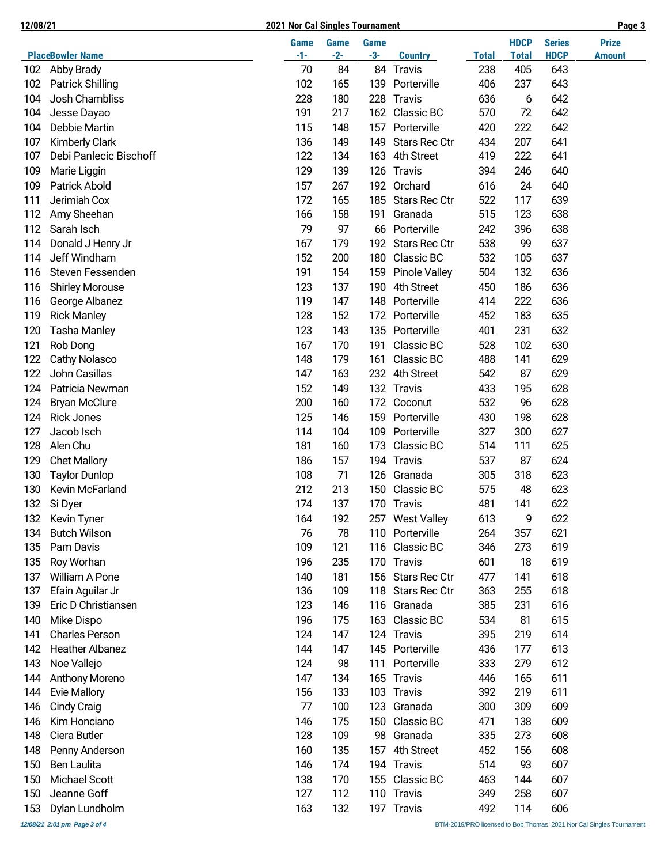#### **12/08/21 2021 Nor Cal Singles Tournament Page 3**

|--|

|     | <b>PlaceBowler Name</b> | Game<br>$-1-$ | <b>Game</b><br>$-2-$ | <b>Game</b><br>$-3-$ | <b>Country</b>       | <b>Total</b> | <b>HDCP</b><br><b>Total</b> | <b>Series</b><br><b>HDCP</b> | <b>Prize</b><br><b>Amount</b> |
|-----|-------------------------|---------------|----------------------|----------------------|----------------------|--------------|-----------------------------|------------------------------|-------------------------------|
| 102 | Abby Brady              | 70            | 84                   | 84                   | Travis               | 238          | 405                         | 643                          |                               |
| 102 | <b>Patrick Shilling</b> | 102           | 165                  | 139                  | Porterville          | 406          | 237                         | 643                          |                               |
| 104 | Josh Chambliss          | 228           | 180                  | 228                  | <b>Travis</b>        | 636          | 6                           | 642                          |                               |
| 104 | Jesse Dayao             | 191           | 217                  | 162                  | Classic BC           | 570          | 72                          | 642                          |                               |
| 104 | Debbie Martin           | 115           | 148                  | 157                  | Porterville          | 420          | 222                         | 642                          |                               |
| 107 | <b>Kimberly Clark</b>   | 136           | 149                  | 149                  | <b>Stars Rec Ctr</b> | 434          | 207                         | 641                          |                               |
| 107 | Debi Panlecic Bischoff  | 122           | 134                  | 163                  | 4th Street           | 419          | 222                         | 641                          |                               |
| 109 | Marie Liggin            | 129           | 139                  | 126                  | <b>Travis</b>        | 394          | 246                         | 640                          |                               |
| 109 | <b>Patrick Abold</b>    | 157           | 267                  | 192                  | Orchard              | 616          | 24                          | 640                          |                               |
| 111 | Jerimiah Cox            | 172           | 165                  | 185                  | Stars Rec Ctr        | 522          | 117                         | 639                          |                               |
| 112 | Amy Sheehan             | 166           | 158                  | 191                  | Granada              | 515          | 123                         | 638                          |                               |
| 112 | Sarah Isch              | 79            | 97                   | 66                   | Porterville          | 242          | 396                         | 638                          |                               |
| 114 | Donald J Henry Jr       | 167           | 179                  | 192                  | Stars Rec Ctr        | 538          | 99                          | 637                          |                               |
| 114 | Jeff Windham            | 152           | 200                  | 180                  | Classic BC           | 532          | 105                         | 637                          |                               |
| 116 | Steven Fessenden        | 191           | 154                  | 159                  | <b>Pinole Valley</b> | 504          | 132                         | 636                          |                               |
| 116 | <b>Shirley Morouse</b>  | 123           | 137                  | 190                  | 4th Street           | 450          | 186                         | 636                          |                               |
| 116 | George Albanez          | 119           | 147                  | 148                  | Porterville          | 414          | 222                         | 636                          |                               |
| 119 | <b>Rick Manley</b>      | 128           | 152                  | 172                  | Porterville          | 452          | 183                         | 635                          |                               |
| 120 | <b>Tasha Manley</b>     | 123           | 143                  | 135                  | Porterville          | 401          | 231                         | 632                          |                               |
| 121 | Rob Dong                | 167           | 170                  | 191                  | Classic BC           | 528          | 102                         | 630                          |                               |
| 122 | <b>Cathy Nolasco</b>    | 148           | 179                  | 161                  | Classic BC           | 488          | 141                         | 629                          |                               |
| 122 | John Casillas           | 147           | 163                  | 232                  | 4th Street           | 542          | 87                          | 629                          |                               |
| 124 | Patricia Newman         | 152           | 149                  | 132                  | Travis               | 433          | 195                         | 628                          |                               |
| 124 | <b>Bryan McClure</b>    | 200           | 160                  | 172                  | Coconut              | 532          | 96                          | 628                          |                               |
| 124 | <b>Rick Jones</b>       | 125           | 146                  | 159                  | Porterville          | 430          | 198                         | 628                          |                               |
| 127 | Jacob Isch              | 114           | 104                  | 109                  | Porterville          | 327          | 300                         | 627                          |                               |
| 128 | Alen Chu                | 181           | 160                  | 173                  | Classic BC           | 514          | 111                         | 625                          |                               |
| 129 | <b>Chet Mallory</b>     | 186           | 157                  | 194                  | <b>Travis</b>        | 537          | 87                          | 624                          |                               |
| 130 | <b>Taylor Dunlop</b>    | 108           | 71                   | 126                  | Granada              | 305          | 318                         | 623                          |                               |
| 130 | Kevin McFarland         | 212           | 213                  | 150                  | Classic BC           | 575          | 48                          | 623                          |                               |
| 132 | Si Dyer                 | 174           | 137                  | 170                  | <b>Travis</b>        | 481          | 141                         | 622                          |                               |
| 132 | Kevin Tyner             | 164           | 192                  | 257                  | <b>West Valley</b>   | 613          | 9                           | 622                          |                               |
| 134 | <b>Butch Wilson</b>     | 76            | 78                   |                      | 110 Porterville      | 264          | 357                         | 621                          |                               |
| 135 | Pam Davis               | 109           | 121                  |                      | 116 Classic BC       | 346          | 273                         | 619                          |                               |
| 135 | Roy Worhan              | 196           | 235                  | 170                  | Travis               | 601          | 18                          | 619                          |                               |
| 137 | William A Pone          | 140           | 181                  | 156                  | Stars Rec Ctr        | 477          | 141                         | 618                          |                               |
| 137 | Efain Aguilar Jr        | 136           | 109                  | 118                  | Stars Rec Ctr        | 363          | 255                         | 618                          |                               |
| 139 | Eric D Christiansen     | 123           | 146                  | 116                  | Granada              | 385          | 231                         | 616                          |                               |
| 140 | Mike Dispo              | 196           | 175                  | 163                  | Classic BC           | 534          | 81                          | 615                          |                               |
| 141 | <b>Charles Person</b>   | 124           | 147                  | 124                  | Travis               | 395          | 219                         | 614                          |                               |
| 142 | <b>Heather Albanez</b>  | 144           | 147                  |                      | 145 Porterville      | 436          | 177                         | 613                          |                               |
| 143 | Noe Vallejo             | 124           | 98                   | 111                  | Porterville          | 333          | 279                         | 612                          |                               |
| 144 | <b>Anthony Moreno</b>   | 147           | 134                  | 165                  | Travis               | 446          | 165                         | 611                          |                               |
| 144 | <b>Evie Mallory</b>     | 156           | 133                  | 103                  | <b>Travis</b>        | 392          | 219                         | 611                          |                               |
| 146 | <b>Cindy Craig</b>      | 77            | 100                  | 123                  | Granada              | 300          | 309                         | 609                          |                               |
| 146 | Kim Honciano            | 146           | 175                  | 150                  | Classic BC           | 471          | 138                         | 609                          |                               |
| 148 | Ciera Butler            | 128           | 109                  | 98                   | Granada              | 335          | 273                         | 608                          |                               |
| 148 | Penny Anderson          | 160           | 135                  | 157                  | 4th Street           | 452          | 156                         | 608                          |                               |
| 150 | Ben Laulita             | 146           | 174                  | 194                  | Travis               | 514          | 93                          | 607                          |                               |
| 150 | Michael Scott           | 138           | 170                  | 155                  | Classic BC           | 463          | 144                         | 607                          |                               |
| 150 | Jeanne Goff             | 127           | 112                  | 110                  | <b>Travis</b>        | 349          | 258                         | 607                          |                               |
| 153 | Dylan Lundholm          | 163           | 132                  |                      | 197 Travis           | 492          | 114                         | 606                          |                               |